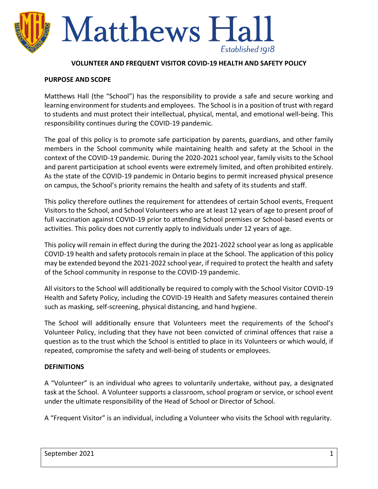

#### **VOLUNTEER AND FREQUENT VISITOR COVID-19 HEALTH AND SAFETY POLICY**

#### **PURPOSE AND SCOPE**

Matthews Hall (the "School") has the responsibility to provide a safe and secure working and learning environment for students and employees. The School is in a position of trust with regard to students and must protect their intellectual, physical, mental, and emotional well-being. This responsibility continues during the COVID-19 pandemic.

The goal of this policy is to promote safe participation by parents, guardians, and other family members in the School community while maintaining health and safety at the School in the context of the COVID-19 pandemic. During the 2020-2021 school year, family visits to the School and parent participation at school events were extremely limited, and often prohibited entirely. As the state of the COVID-19 pandemic in Ontario begins to permit increased physical presence on campus, the School's priority remains the health and safety of its students and staff.

This policy therefore outlines the requirement for attendees of certain School events, Frequent Visitors to the School, and School Volunteers who are at least 12 years of age to present proof of full vaccination against COVID-19 prior to attending School premises or School-based events or activities. This policy does not currently apply to individuals under 12 years of age.

This policy will remain in effect during the during the 2021-2022 school year as long as applicable COVID-19 health and safety protocols remain in place at the School. The application of this policy may be extended beyond the 2021-2022 school year, if required to protect the health and safety of the School community in response to the COVID-19 pandemic.

All visitors to the School will additionally be required to comply with the School Visitor COVID-19 Health and Safety Policy, including the COVID-19 Health and Safety measures contained therein such as masking, self-screening, physical distancing, and hand hygiene.

The School will additionally ensure that Volunteers meet the requirements of the School's Volunteer Policy, including that they have not been convicted of criminal offences that raise a question as to the trust which the School is entitled to place in its Volunteers or which would, if repeated, compromise the safety and well-being of students or employees.

### **DEFINITIONS**

A "Volunteer" is an individual who agrees to voluntarily undertake, without pay, a designated task at the School. A Volunteer supports a classroom, school program or service, or school event under the ultimate responsibility of the Head of School or Director of School.

A "Frequent Visitor" is an individual, including a Volunteer who visits the School with regularity.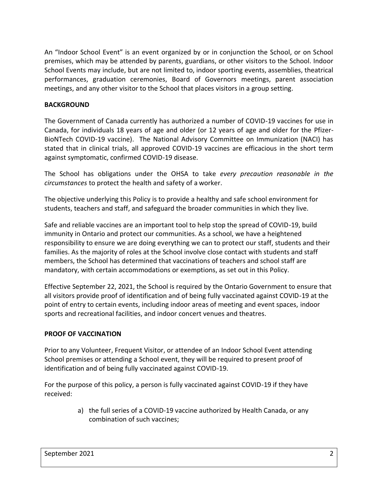An "Indoor School Event" is an event organized by or in conjunction the School, or on School premises, which may be attended by parents, guardians, or other visitors to the School. Indoor School Events may include, but are not limited to, indoor sporting events, assemblies, theatrical performances, graduation ceremonies, Board of Governors meetings, parent association meetings, and any other visitor to the School that places visitors in a group setting.

## **BACKGROUND**

The Government of Canada currently has authorized a number of COVID-19 vaccines for use in Canada, for individuals 18 years of age and older (or 12 years of age and older for the Pfizer-BioNTech COVID-19 vaccine). The National Advisory Committee on Immunization (NACI) has stated that in clinical trials, all approved COVID-19 vaccines are efficacious in the short term against symptomatic, confirmed COVID-19 disease.

The School has obligations under the OHSA to take *every precaution reasonable in the circumstances* to protect the health and safety of a worker.

The objective underlying this Policy is to provide a healthy and safe school environment for students, teachers and staff, and safeguard the broader communities in which they live.

Safe and reliable vaccines are an important tool to help stop the spread of COVID-19, build immunity in Ontario and protect our communities. As a school, we have a heightened responsibility to ensure we are doing everything we can to protect our staff, students and their families. As the majority of roles at the School involve close contact with students and staff members, the School has determined that vaccinations of teachers and school staff are mandatory, with certain accommodations or exemptions, as set out in this Policy.

Effective September 22, 2021, the School is required by the Ontario Government to ensure that all visitors provide proof of identification and of being fully vaccinated against COVID-19 at the point of entry to certain events, including indoor areas of meeting and event spaces, indoor sports and recreational facilities, and indoor concert venues and theatres.

# **PROOF OF VACCINATION**

Prior to any Volunteer, Frequent Visitor, or attendee of an Indoor School Event attending School premises or attending a School event, they will be required to present proof of identification and of being fully vaccinated against COVID-19.

For the purpose of this policy, a person is fully vaccinated against COVID-19 if they have received:

> a) the full series of a COVID-19 vaccine authorized by Health Canada, or any combination of such vaccines;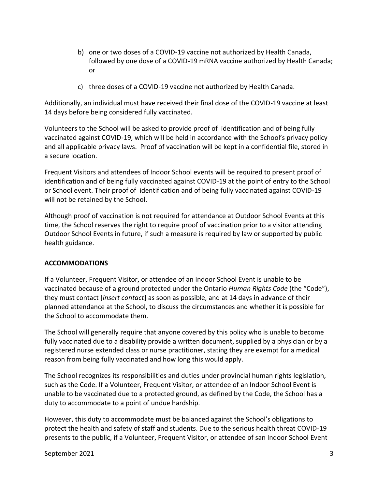- b) one or two doses of a COVID-19 vaccine not authorized by Health Canada, followed by one dose of a COVID-19 mRNA vaccine authorized by Health Canada; or
- c) three doses of a COVID-19 vaccine not authorized by Health Canada.

Additionally, an individual must have received their final dose of the COVID-19 vaccine at least 14 days before being considered fully vaccinated.

Volunteers to the School will be asked to provide proof of identification and of being fully vaccinated against COVID-19, which will be held in accordance with the School's privacy policy and all applicable privacy laws. Proof of vaccination will be kept in a confidential file, stored in a secure location.

Frequent Visitors and attendees of Indoor School events will be required to present proof of identification and of being fully vaccinated against COVID-19 at the point of entry to the School or School event. Their proof of identification and of being fully vaccinated against COVID-19 will not be retained by the School.

Although proof of vaccination is not required for attendance at Outdoor School Events at this time, the School reserves the right to require proof of vaccination prior to a visitor attending Outdoor School Events in future, if such a measure is required by law or supported by public health guidance.

# **ACCOMMODATIONS**

If a Volunteer, Frequent Visitor, or attendee of an Indoor School Event is unable to be vaccinated because of a ground protected under the Ontario *Human Rights Code* (the "Code"), they must contact [*insert contact*] as soon as possible, and at 14 days in advance of their planned attendance at the School, to discuss the circumstances and whether it is possible for the School to accommodate them.

The School will generally require that anyone covered by this policy who is unable to become fully vaccinated due to a disability provide a written document, supplied by a physician or by a registered nurse extended class or nurse practitioner, stating they are exempt for a medical reason from being fully vaccinated and how long this would apply.

The School recognizes its responsibilities and duties under provincial human rights legislation, such as the Code. If a Volunteer, Frequent Visitor, or attendee of an Indoor School Event is unable to be vaccinated due to a protected ground, as defined by the Code, the School has a duty to accommodate to a point of undue hardship.

However, this duty to accommodate must be balanced against the School's obligations to protect the health and safety of staff and students. Due to the serious health threat COVID-19 presents to the public, if a Volunteer, Frequent Visitor, or attendee of san Indoor School Event